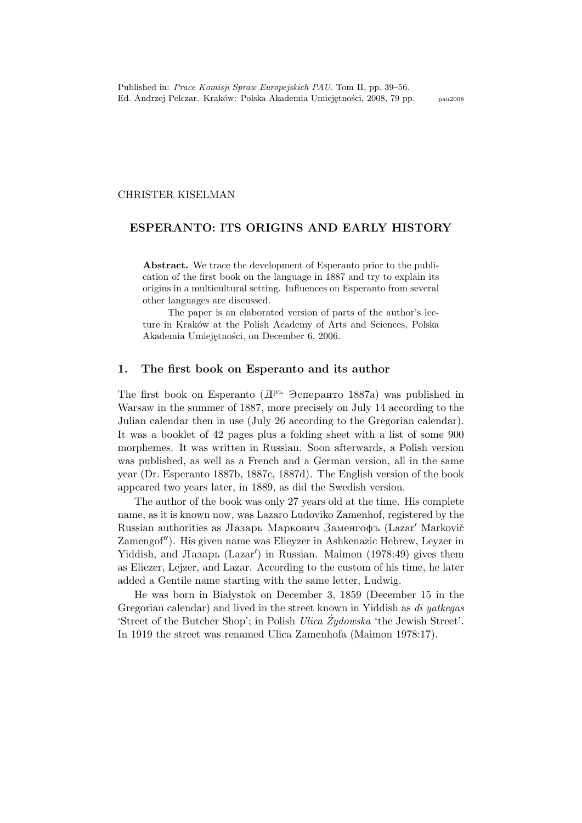#### CHRISTER KISELMAN

### ESPERANTO: ITS ORIGINS AND EARLY HISTORY

Abstract. We trace the development of Esperanto prior to the publication of the first book on the language in 1887 and try to explain its origins in a multicultural setting. Influences on Esperanto from several other languages are discussed.

The paper is an elaborated version of parts of the author's lecture in Kraków at the Polish Academy of Arts and Sciences, Polska Akademia Umiejętności, on December 6, 2006.

### 1. The first book on Esperanto and its author

The first book on Esperanto  $(\Pi^{\text{p}_k}$   $\Im$  energy 1887a) was published in Warsaw in the summer of 1887, more precisely on July 14 according to the Julian calendar then in use (July 26 according to the Gregorian calendar). It was a booklet of 42 pages plus a folding sheet with a list of some 900 morphemes. It was written in Russian. Soon afterwards, a Polish version was published, as well as a French and a German version, all in the same year (Dr. Esperanto 1887b, 1887c, 1887d). The English version of the book appeared two years later, in 1889, as did the Swedish version.

The author of the book was only 27 years old at the time. His complete name, as it is known now, was Lazaro Ludoviko Zamenhof, registered by the Russian authorities as Лазарь Маркович Заменгофъ (Lazar' Markovič Zamengof"). His given name was Elieyzer in Ashkenazic Hebrew, Leyzer in Yiddish, and Лазарь (Lazar') in Russian. Maimon (1978:49) gives them as Eliezer, Lejzer, and Lazar. According to the custom of his time, he later added a Gentile name starting with the same letter, Ludwig.

He was born in Białystok on December 3, 1859 (December 15 in the Gregorian calendar) and lived in the street known in Yiddish as *di vatkegas* 'Street of the Butcher Shop'; in Polish Ulica Żydowska 'the Jewish Street'. In 1919 the street was renamed Ulica Zamenhofa (Maimon 1978:17).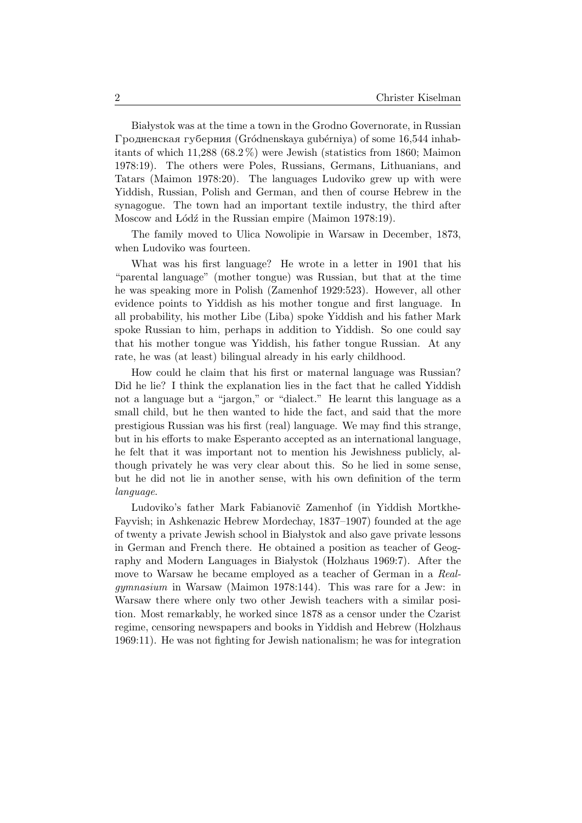Białystok was at the time a town in the Grodno Governorate, in Russian  $\Gamma$ родненская губерния (Gródnenskaya gubérniya) of some 16,544 inhabitants of which 11,288 (68.2 %) were Jewish (statistics from 1860; Maimon 1978:19). The others were Poles, Russians, Germans, Lithuanians, and Tatars (Maimon 1978:20). The languages Ludoviko grew up with were Yiddish, Russian, Polish and German, and then of course Hebrew in the synagogue. The town had an important textile industry, the third after Moscow and Lódz in the Russian empire (Maimon 1978:19).

The family moved to Ulica Nowolipie in Warsaw in December, 1873, when Ludoviko was fourteen.

What was his first language? He wrote in a letter in 1901 that his "parental language" (mother tongue) was Russian, but that at the time he was speaking more in Polish (Zamenhof 1929:523). However, all other evidence points to Yiddish as his mother tongue and first language. In all probability, his mother Libe (Liba) spoke Yiddish and his father Mark spoke Russian to him, perhaps in addition to Yiddish. So one could say that his mother tongue was Yiddish, his father tongue Russian. At any rate, he was (at least) bilingual already in his early childhood.

How could he claim that his first or maternal language was Russian? Did he lie? I think the explanation lies in the fact that he called Yiddish not a language but a "jargon," or "dialect." He learnt this language as a small child, but he then wanted to hide the fact, and said that the more prestigious Russian was his first (real) language. We may find this strange, but in his efforts to make Esperanto accepted as an international language, he felt that it was important not to mention his Jewishness publicly, although privately he was very clear about this. So he lied in some sense, but he did not lie in another sense, with his own definition of the term language.

Ludoviko's father Mark Fabianovič Zamenhof (in Yiddish Mortkhe-Fayvish; in Ashkenazic Hebrew Mordechay, 1837–1907) founded at the age of twenty a private Jewish school in Białystok and also gave private lessons in German and French there. He obtained a position as teacher of Geography and Modern Languages in Białystok (Holzhaus 1969:7). After the move to Warsaw he became employed as a teacher of German in a Realgymnasium in Warsaw (Maimon 1978:144). This was rare for a Jew: in Warsaw there where only two other Jewish teachers with a similar position. Most remarkably, he worked since 1878 as a censor under the Czarist regime, censoring newspapers and books in Yiddish and Hebrew (Holzhaus 1969:11). He was not fighting for Jewish nationalism; he was for integration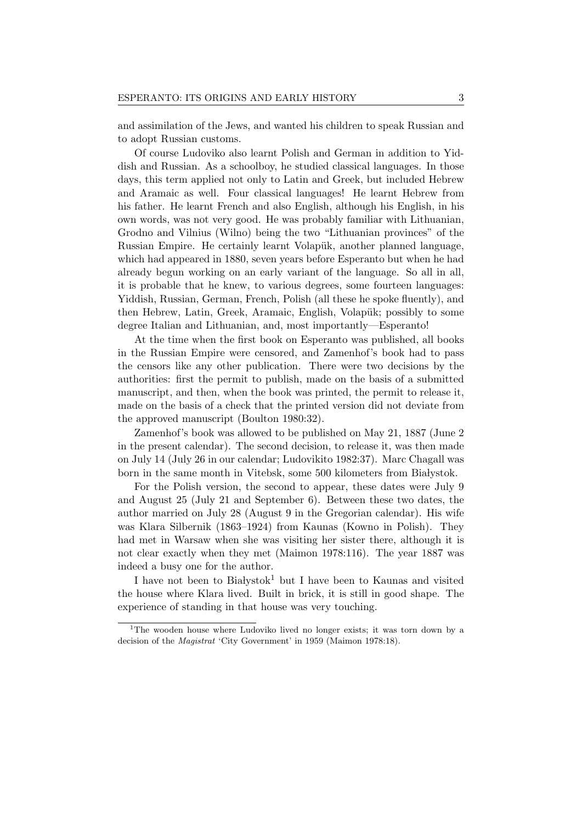and assimilation of the Jews, and wanted his children to speak Russian and to adopt Russian customs.

Of course Ludoviko also learnt Polish and German in addition to Yiddish and Russian. As a schoolboy, he studied classical languages. In those days, this term applied not only to Latin and Greek, but included Hebrew and Aramaic as well. Four classical languages! He learnt Hebrew from his father. He learnt French and also English, although his English, in his own words, was not very good. He was probably familiar with Lithuanian, Grodno and Vilnius (Wilno) being the two "Lithuanian provinces" of the Russian Empire. He certainly learnt Volapük, another planned language, which had appeared in 1880, seven years before Esperanto but when he had already begun working on an early variant of the language. So all in all, it is probable that he knew, to various degrees, some fourteen languages: Yiddish, Russian, German, French, Polish (all these he spoke fluently), and then Hebrew, Latin, Greek, Aramaic, English, Volapük; possibly to some degree Italian and Lithuanian, and, most importantly—Esperanto!

At the time when the first book on Esperanto was published, all books in the Russian Empire were censored, and Zamenhof's book had to pass the censors like any other publication. There were two decisions by the authorities: first the permit to publish, made on the basis of a submitted manuscript, and then, when the book was printed, the permit to release it, made on the basis of a check that the printed version did not deviate from the approved manuscript (Boulton 1980:32).

Zamenhof's book was allowed to be published on May 21, 1887 (June 2 in the present calendar). The second decision, to release it, was then made on July 14 (July 26 in our calendar; Ludovikito 1982:37). Marc Chagall was born in the same month in Vitebsk, some 500 kilometers from Białystok.

For the Polish version, the second to appear, these dates were July 9 and August 25 (July 21 and September 6). Between these two dates, the author married on July 28 (August 9 in the Gregorian calendar). His wife was Klara Silbernik (1863–1924) from Kaunas (Kowno in Polish). They had met in Warsaw when she was visiting her sister there, although it is not clear exactly when they met (Maimon 1978:116). The year 1887 was indeed a busy one for the author.

I have not been to Białystok<sup>1</sup> but I have been to Kaunas and visited the house where Klara lived. Built in brick, it is still in good shape. The experience of standing in that house was very touching.

<sup>&</sup>lt;sup>1</sup>The wooden house where Ludoviko lived no longer exists; it was torn down by a decision of the Magistrat 'City Government' in 1959 (Maimon 1978:18).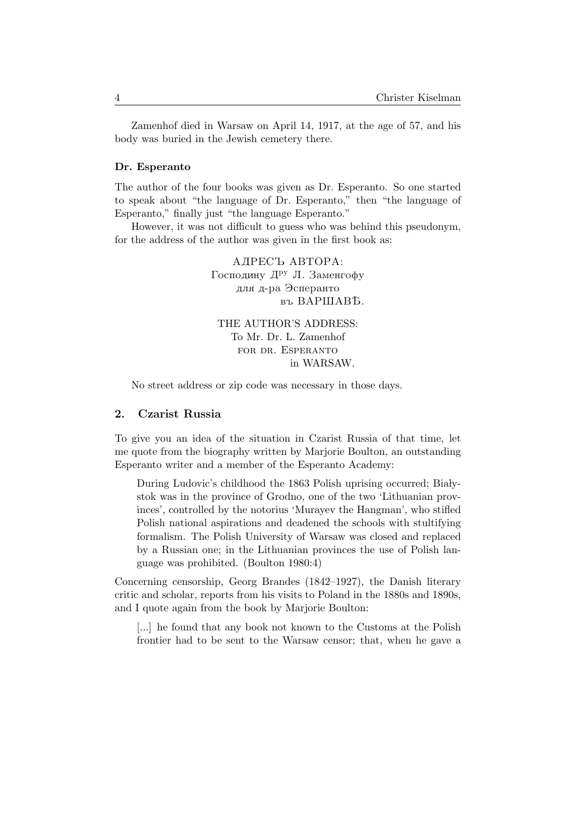Zamenhof died in Warsaw on April 14, 1917, at the age of 57, and his body was buried in the Jewish cemetery there.

#### Dr. Esperanto

The author of the four books was given as Dr. Esperanto. So one started to speak about "the language of Dr. Esperanto," then "the language of Esperanto," finally just "the language Esperanto."

However, it was not difficult to guess who was behind this pseudonym, for the address of the author was given in the first book as:

> АДРЕСЪ АВТОРА: Господину Д<sup>ру</sup> Л. Заменгофу для д-ра Эсперанто въ ВАРШАВЪ. THE AUTHOR'S ADDRESS:

To Mr. Dr. L. Zamenhof for dr. Esperanto in WARSAW.

No street address or zip code was necessary in those days.

### 2. Czarist Russia

To give you an idea of the situation in Czarist Russia of that time, let me quote from the biography written by Marjorie Boulton, an outstanding Esperanto writer and a member of the Esperanto Academy:

During Ludovic's childhood the 1863 Polish uprising occurred; Białystok was in the province of Grodno, one of the two 'Lithuanian provinces', controlled by the notorius 'Murayev the Hangman', who stifled Polish national aspirations and deadened the schools with stultifying formalism. The Polish University of Warsaw was closed and replaced by a Russian one; in the Lithuanian provinces the use of Polish language was prohibited. (Boulton 1980:4)

Concerning censorship, Georg Brandes (1842–1927), the Danish literary critic and scholar, reports from his visits to Poland in the 1880s and 1890s, and I quote again from the book by Marjorie Boulton:

[...] he found that any book not known to the Customs at the Polish frontier had to be sent to the Warsaw censor; that, when he gave a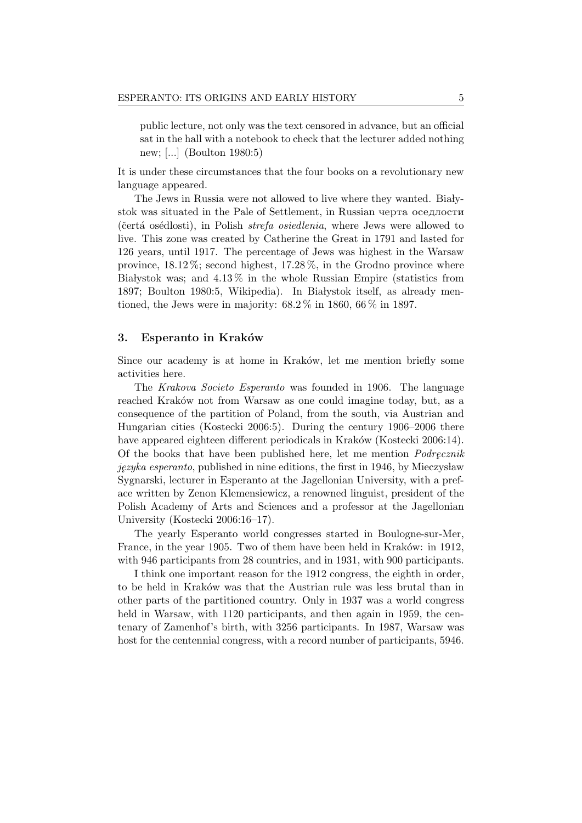public lecture, not only was the text censored in advance, but an official sat in the hall with a notebook to check that the lecturer added nothing new; [...] (Boulton 1980:5)

It is under these circumstances that the four books on a revolutionary new language appeared.

The Jews in Russia were not allowed to live where they wanted. Białystok was situated in the Pale of Settlement, in Russian черта оседлости (čertá osédlosti), in Polish  $strefa$  osiedlenia, where Jews were allowed to live. This zone was created by Catherine the Great in 1791 and lasted for 126 years, until 1917. The percentage of Jews was highest in the Warsaw province,  $18.12\%$ ; second highest,  $17.28\%$ , in the Grodno province where Białystok was; and  $4.13\%$  in the whole Russian Empire (statistics from 1897; Boulton 1980:5, Wikipedia). In Białystok itself, as already mentioned, the Jews were in majority:  $68.2\%$  in 1860,  $66\%$  in 1897.

### 3. Esperanto in Kraków

Since our academy is at home in Kraków, let me mention briefly some activities here.

The Krakova Societo Esperanto was founded in 1906. The language reached Kraków not from Warsaw as one could imagine today, but, as a consequence of the partition of Poland, from the south, via Austrian and Hungarian cities (Kostecki 2006:5). During the century 1906–2006 there have appeared eighteen different periodicals in Kraków (Kostecki 2006:14). Of the books that have been published here, let me mention *Podrecznik*  $jezyka$  esperanto, published in nine editions, the first in 1946, by Mieczysław Sygnarski, lecturer in Esperanto at the Jagellonian University, with a preface written by Zenon Klemensiewicz, a renowned linguist, president of the Polish Academy of Arts and Sciences and a professor at the Jagellonian University (Kostecki 2006:16–17).

The yearly Esperanto world congresses started in Boulogne-sur-Mer, France, in the year 1905. Two of them have been held in Kraków: in 1912, with 946 participants from 28 countries, and in 1931, with 900 participants.

I think one important reason for the 1912 congress, the eighth in order, to be held in Kraków was that the Austrian rule was less brutal than in other parts of the partitioned country. Only in 1937 was a world congress held in Warsaw, with 1120 participants, and then again in 1959, the centenary of Zamenhof's birth, with 3256 participants. In 1987, Warsaw was host for the centennial congress, with a record number of participants, 5946.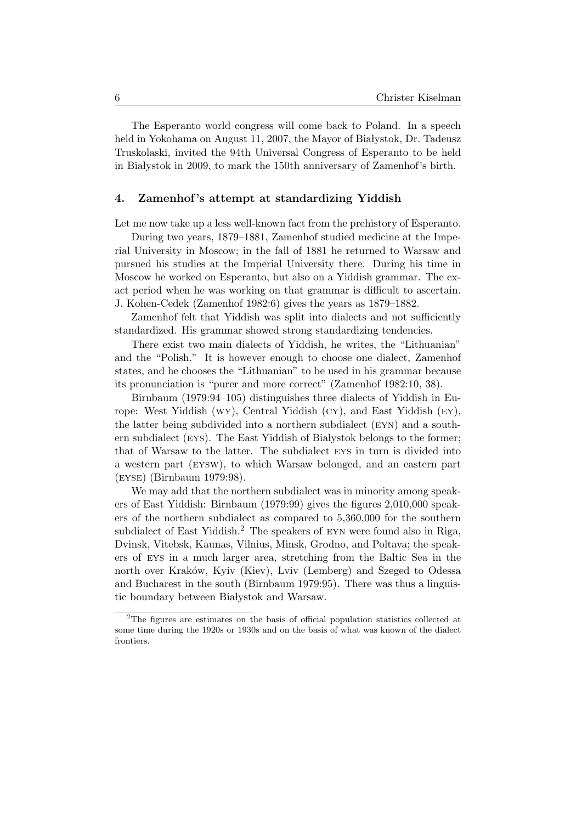The Esperanto world congress will come back to Poland. In a speech held in Yokohama on August 11, 2007, the Mayor of Białystok, Dr. Tadeusz Truskolaski, invited the 94th Universal Congress of Esperanto to be held in Białystok in 2009, to mark the 150th anniversary of Zamenhof's birth.

# 4. Zamenhof 's attempt at standardizing Yiddish

Let me now take up a less well-known fact from the prehistory of Esperanto.

During two years, 1879–1881, Zamenhof studied medicine at the Imperial University in Moscow; in the fall of 1881 he returned to Warsaw and pursued his studies at the Imperial University there. During his time in Moscow he worked on Esperanto, but also on a Yiddish grammar. The exact period when he was working on that grammar is difficult to ascertain. J. Kohen-Cedek (Zamenhof 1982:6) gives the years as 1879–1882.

Zamenhof felt that Yiddish was split into dialects and not sufficiently standardized. His grammar showed strong standardizing tendencies.

There exist two main dialects of Yiddish, he writes, the "Lithuanian" and the "Polish." It is however enough to choose one dialect, Zamenhof states, and he chooses the "Lithuanian" to be used in his grammar because its pronunciation is "purer and more correct" (Zamenhof 1982:10, 38).

Birnbaum (1979:94–105) distinguishes three dialects of Yiddish in Europe: West Yiddish (wy), Central Yiddish (cy), and East Yiddish (ey), the latter being subdivided into a northern subdialect (eyn) and a southern subdialect (EYS). The East Yiddish of Białystok belongs to the former; that of Warsaw to the latter. The subdialect eys in turn is divided into a western part (eysw), to which Warsaw belonged, and an eastern part (eyse) (Birnbaum 1979:98).

We may add that the northern subdialect was in minority among speakers of East Yiddish: Birnbaum (1979:99) gives the figures 2,010,000 speakers of the northern subdialect as compared to 5,360,000 for the southern subdialect of East Yiddish.<sup>2</sup> The speakers of EYN were found also in Riga, Dvinsk, Vitebsk, Kaunas, Vilnius, Minsk, Grodno, and Poltava; the speakers of eys in a much larger area, stretching from the Baltic Sea in the north over Kraków, Kyiv (Kiev), Lviv (Lemberg) and Szeged to Odessa and Bucharest in the south (Birnbaum 1979:95). There was thus a linguistic boundary between Białystok and Warsaw.

<sup>2</sup>The figures are estimates on the basis of official population statistics collected at some time during the 1920s or 1930s and on the basis of what was known of the dialect frontiers.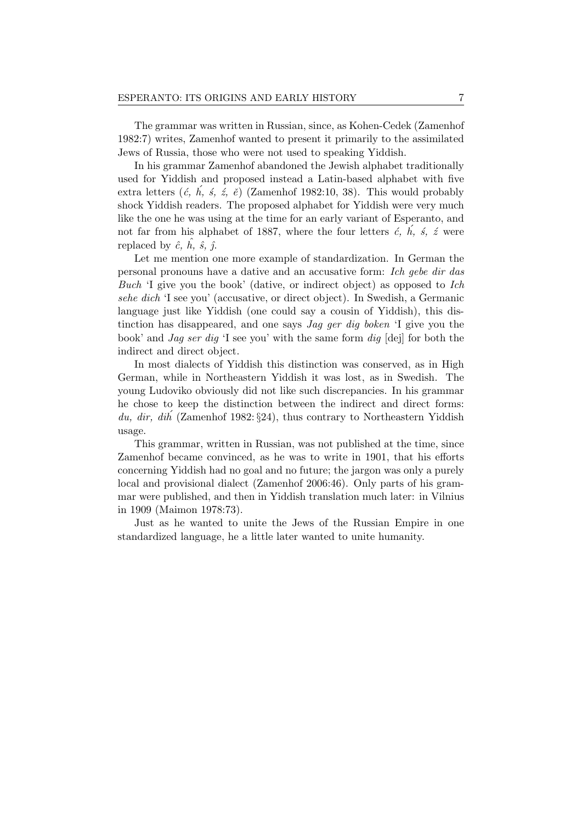The grammar was written in Russian, since, as Kohen-Cedek (Zamenhof 1982:7) writes, Zamenhof wanted to present it primarily to the assimilated Jews of Russia, those who were not used to speaking Yiddish.

In his grammar Zamenhof abandoned the Jewish alphabet traditionally used for Yiddish and proposed instead a Latin-based alphabet with five extra letters  $(\acute{c}, \acute{h}, \acute{s}, \acute{z}, \acute{e})$  (Zamenhof 1982:10, 38). This would probably shock Yiddish readers. The proposed alphabet for Yiddish were very much like the one he was using at the time for an early variant of Esperanto, and not far from his alphabet of 1887, where the four letters  $\acute{c}$ ,  $\acute{h}$ ,  $\acute{s}$ ,  $\acute{z}$  were replaced by  $\hat{c}$ ,  $\hat{h}$ ,  $\hat{s}$ ,  $\hat{\gamma}$ .

Let me mention one more example of standardization. In German the personal pronouns have a dative and an accusative form: Ich gebe dir das Buch 'I give you the book' (dative, or indirect object) as opposed to Ich sehe dich 'I see you' (accusative, or direct object). In Swedish, a Germanic language just like Yiddish (one could say a cousin of Yiddish), this distinction has disappeared, and one says Jag ger dig boken 'I give you the book' and Jag ser dig 'I see you' with the same form dig [dej] for both the indirect and direct object.

In most dialects of Yiddish this distinction was conserved, as in High German, while in Northeastern Yiddish it was lost, as in Swedish. The young Ludoviko obviously did not like such discrepancies. In his grammar he chose to keep the distinction between the indirect and direct forms: du, dir, dih (Zamenhof 1982:  $\S 24$ ), thus contrary to Northeastern Yiddish usage.

This grammar, written in Russian, was not published at the time, since Zamenhof became convinced, as he was to write in 1901, that his efforts concerning Yiddish had no goal and no future; the jargon was only a purely local and provisional dialect (Zamenhof 2006:46). Only parts of his grammar were published, and then in Yiddish translation much later: in Vilnius in 1909 (Maimon 1978:73).

Just as he wanted to unite the Jews of the Russian Empire in one standardized language, he a little later wanted to unite humanity.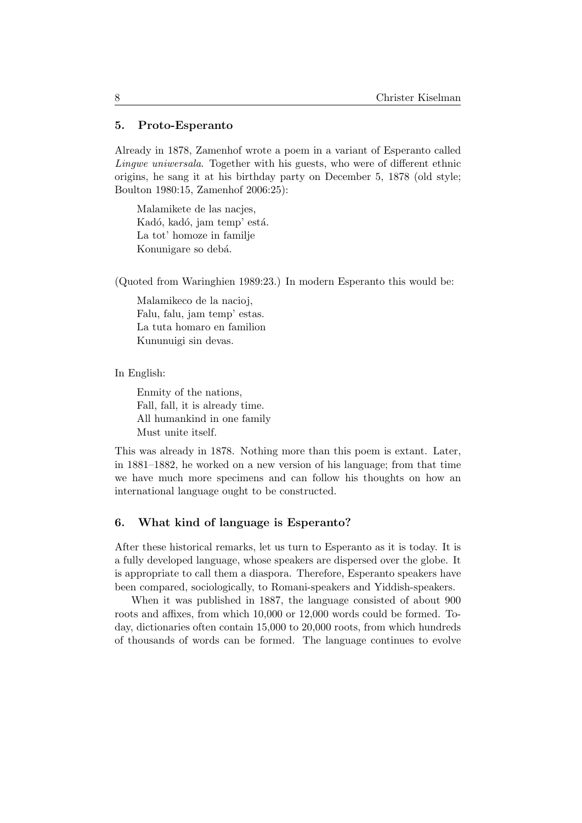## 5. Proto-Esperanto

Already in 1878, Zamenhof wrote a poem in a variant of Esperanto called Lingwe uniwersala. Together with his guests, who were of different ethnic origins, he sang it at his birthday party on December 5, 1878 (old style; Boulton 1980:15, Zamenhof 2006:25):

Malamikete de las nacjes, Kadó, kadó, jam temp' está. La tot' homoze in familje Konunigare so debá.

(Quoted from Waringhien 1989:23.) In modern Esperanto this would be:

Malamikeco de la nacioj, Falu, falu, jam temp' estas. La tuta homaro en familion Kununuigi sin devas.

In English:

Enmity of the nations, Fall, fall, it is already time. All humankind in one family Must unite itself.

This was already in 1878. Nothing more than this poem is extant. Later, in 1881–1882, he worked on a new version of his language; from that time we have much more specimens and can follow his thoughts on how an international language ought to be constructed.

# 6. What kind of language is Esperanto?

After these historical remarks, let us turn to Esperanto as it is today. It is a fully developed language, whose speakers are dispersed over the globe. It is appropriate to call them a diaspora. Therefore, Esperanto speakers have been compared, sociologically, to Romani-speakers and Yiddish-speakers.

When it was published in 1887, the language consisted of about 900 roots and affixes, from which 10,000 or 12,000 words could be formed. Today, dictionaries often contain 15,000 to 20,000 roots, from which hundreds of thousands of words can be formed. The language continues to evolve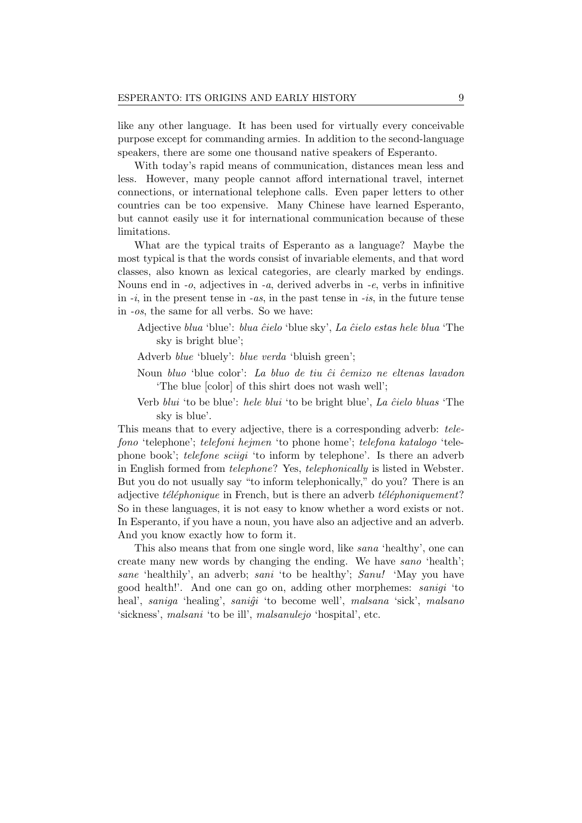like any other language. It has been used for virtually every conceivable purpose except for commanding armies. In addition to the second-language speakers, there are some one thousand native speakers of Esperanto.

With today's rapid means of communication, distances mean less and less. However, many people cannot afford international travel, internet connections, or international telephone calls. Even paper letters to other countries can be too expensive. Many Chinese have learned Esperanto, but cannot easily use it for international communication because of these limitations.

What are the typical traits of Esperanto as a language? Maybe the most typical is that the words consist of invariable elements, and that word classes, also known as lexical categories, are clearly marked by endings. Nouns end in  $-a$ , adjectives in  $-a$ , derived adverbs in  $-e$ , verbs in infinitive in  $-i$ , in the present tense in  $-as$ , in the past tense in  $-is$ , in the future tense in -os, the same for all verbs. So we have:

- Adjective blua 'blue': blua ĉielo 'blue sky', La ĉielo estas hele blua 'The sky is bright blue';
- Adverb blue 'bluely': blue verda 'bluish green';
- Noun bluo 'blue color': La bluo de tiu ĉi ĉemizo ne eltenas lavadon 'The blue [color] of this shirt does not wash well';
- Verb *blui* 'to be blue': *hele blui* 'to be bright blue', *La ĉielo bluas* 'The sky is blue'.

This means that to every adjective, there is a corresponding adverb: telefono 'telephone'; telefoni hejmen 'to phone home'; telefona katalogo 'telephone book'; *telefone sciigi* 'to inform by telephone'. Is there an adverb in English formed from telephone? Yes, telephonically is listed in Webster. But you do not usually say "to inform telephonically," do you? There is an adjective  $t\acute{e}l\acute{e}phonique$  in French, but is there an adverb  $t\acute{e}l\acute{e}phoniquement?$ So in these languages, it is not easy to know whether a word exists or not. In Esperanto, if you have a noun, you have also an adjective and an adverb. And you know exactly how to form it.

This also means that from one single word, like sana 'healthy', one can create many new words by changing the ending. We have sano 'health'; sane 'healthily', an adverb; sani 'to be healthy'; Sanu! 'May you have good health!'. And one can go on, adding other morphemes: sanigi 'to heal', saniga 'healing', saniĝi 'to become well', malsana 'sick', malsano 'sickness', malsani 'to be ill', malsanulejo 'hospital', etc.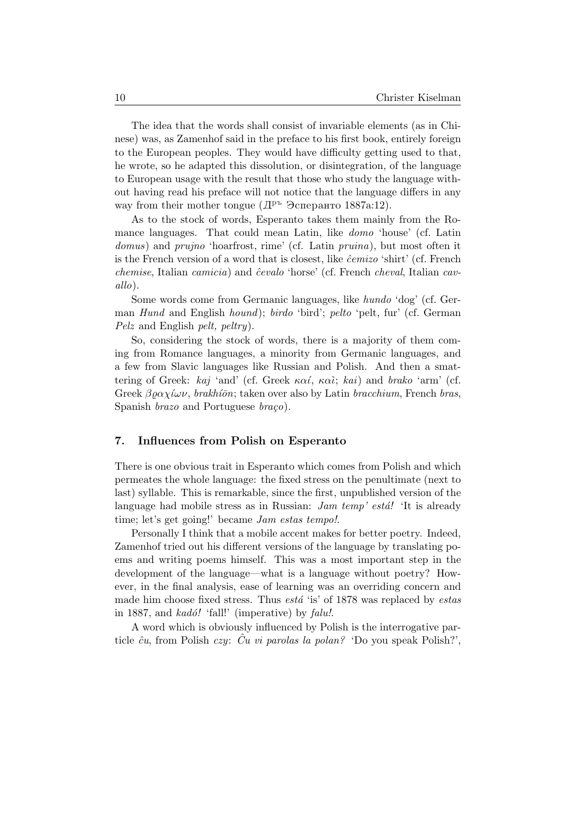The idea that the words shall consist of invariable elements (as in Chinese) was, as Zamenhof said in the preface to his first book, entirely foreign to the European peoples. They would have difficulty getting used to that, he wrote, so he adapted this dissolution, or disintegration, of the language to European usage with the result that those who study the language without having read his preface will not notice that the language differs in any way from their mother tongue  $(\mathbb{I}^{\mathbf{p}^{\mathbf{L}}}$  Эсперанто 1887a:12).

As to the stock of words, Esperanto takes them mainly from the Romance languages. That could mean Latin, like domo 'house' (cf. Latin domus) and prujno 'hoarfrost, rime' (cf. Latin pruina), but most often it is the French version of a word that is closest, like  $\hat{c}$ emizo 'shirt' (cf. French chemise, Italian camicia) and ĉevalo 'horse' (cf. French cheval, Italian cavallo).

Some words come from Germanic languages, like hundo 'dog' (cf. German Hund and English hound); birdo 'bird'; pelto 'pelt, fur' (cf. German Pelz and English pelt, peltry).

So, considering the stock of words, there is a majority of them coming from Romance languages, a minority from Germanic languages, and a few from Slavic languages like Russian and Polish. And then a smattering of Greek: kaj 'and' (cf. Greek  $\kappa \alpha i$ ,  $\kappa \alpha i$ ; kai) and brako 'arm' (cf. Greek  $\beta \rho \alpha \chi \ell \omega \nu$ , brakhí $\bar{\rho}$ n; taken over also by Latin bracchium, French bras, Spanish *brazo* and Portuguese  $bra{c}$ .

## 7. Influences from Polish on Esperanto

There is one obvious trait in Esperanto which comes from Polish and which permeates the whole language: the fixed stress on the penultimate (next to last) syllable. This is remarkable, since the first, unpublished version of the language had mobile stress as in Russian:  $Jam \ temp' \ est\acute{a}!$  'It is already time; let's get going!' became *Jam estas tempo!*.

Personally I think that a mobile accent makes for better poetry. Indeed, Zamenhof tried out his different versions of the language by translating poems and writing poems himself. This was a most important step in the development of the language—what is a language without poetry? However, in the final analysis, ease of learning was an overriding concern and made him choose fixed stress. Thus  $est\acute{a}$  'is' of 1878 was replaced by estas in 1887, and  $kad\acute{o}!$  'fall!' (imperative) by  $falu!.$ 

A word which is obviously influenced by Polish is the interrogative particle  $\hat{c}u$ , from Polish czy:  $\hat{C}u$  vi parolas la polan? 'Do you speak Polish?',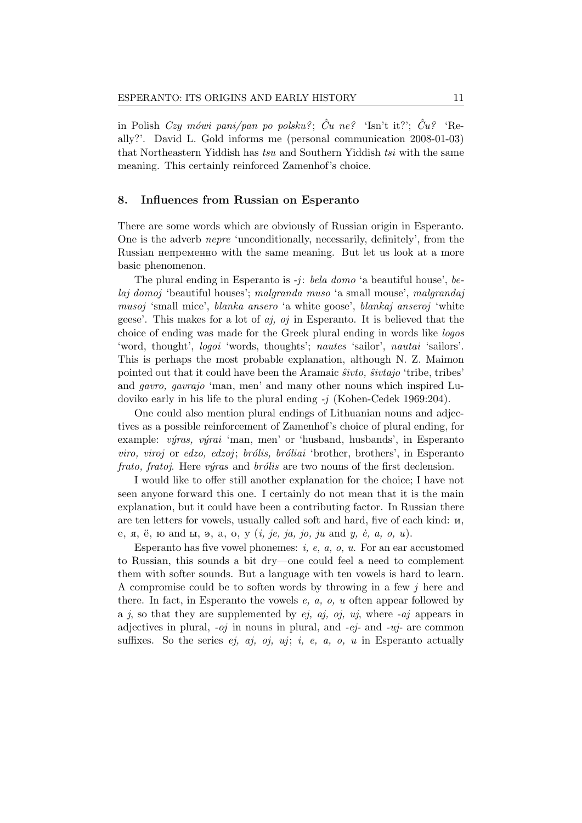in Polish Czy mówi pani/pan po polsku?;  $\hat{C}u$  ne?  $\hat{C}$  'Isn't it?';  $\hat{C}u$ ?  $\hat{C}u$ ally?'. David L. Gold informs me (personal communication 2008-01-03) that Northeastern Yiddish has tsu and Southern Yiddish tsi with the same meaning. This certainly reinforced Zamenhof's choice.

## 8. Influences from Russian on Esperanto

There are some words which are obviously of Russian origin in Esperanto. One is the adverb nepre 'unconditionally, necessarily, definitely', from the Russian непременно with the same meaning. But let us look at a more basic phenomenon.

The plural ending in Esperanto is  $-j$ : *bela domo* 'a beautiful house', *be*laj domoj 'beautiful houses'; malgranda muso 'a small mouse', malgrandaj musoj 'small mice', blanka ansero 'a white goose', blankaj anseroj 'white geese'. This makes for a lot of  $a_j$ ,  $o_j$  in Esperanto. It is believed that the choice of ending was made for the Greek plural ending in words like logos 'word, thought', logoi 'words, thoughts'; nautes 'sailor', nautai 'sailors'. This is perhaps the most probable explanation, although N. Z. Maimon pointed out that it could have been the Aramaic  $\hat{s}ivto$ ,  $\hat{s}ivtajo$  'tribe, tribes' and gavro, gavrajo 'man, men' and many other nouns which inspired Ludoviko early in his life to the plural ending  $-j$  (Kohen-Cedek 1969:204).

One could also mention plural endings of Lithuanian nouns and adjectives as a possible reinforcement of Zamenhof's choice of plural ending, for example:  $výras, výrai 'man, men' or 'husband, husbands', in Esperanto$ viro, viroj or edzo, edzoj; brólis, bróliai 'brother, brothers', in Esperanto frato, fratoj. Here výras and brólis are two nouns of the first declension.

I would like to offer still another explanation for the choice; I have not seen anyone forward this one. I certainly do not mean that it is the main explanation, but it could have been a contributing factor. In Russian there are ten letters for vowels, usually called soft and hard, five of each kind:  $\mu$ , e, , , and y, , a, o, u (i, je, ja, jo, ju and y, `e, a, o, u).

Esperanto has five vowel phonemes:  $i, e, a, o, u$ . For an ear accustomed to Russian, this sounds a bit dry—one could feel a need to complement them with softer sounds. But a language with ten vowels is hard to learn. A compromise could be to soften words by throwing in a few  $j$  here and there. In fact, in Esperanto the vowels  $e$ ,  $a$ ,  $o$ ,  $u$  often appear followed by a j, so that they are supplemented by  $ej$ ,  $aj$ ,  $oj$ ,  $uj$ , where  $-aj$  appears in adjectives in plural,  $-oj$  in nouns in plural, and  $-ej$ - and  $-uj$ - are common suffixes. So the series  $ej$ ,  $aj$ ,  $oj$ ,  $uj$ ;  $i$ ,  $e$ ,  $a$ ,  $o$ ,  $u$  in Esperanto actually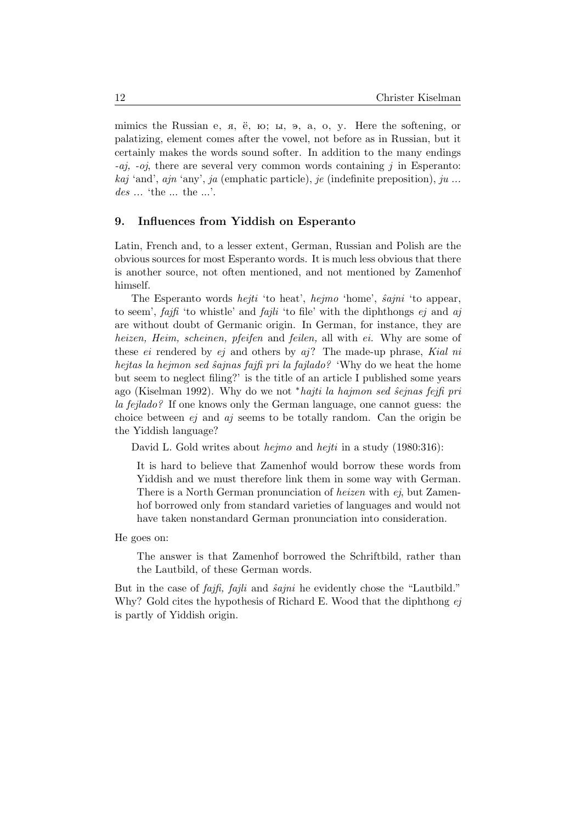mimics the Russian e,  $\pi$ ,  $\ddot{e}$ ,  $\kappa$ ;  $\mu$ ,  $\sigma$ ,  $\sigma$ ,  $\sigma$ ,  $\sigma$ ,  $\sigma$ . Here the softening, or palatizing, element comes after the vowel, not before as in Russian, but it certainly makes the words sound softer. In addition to the many endings  $-aj$ ,  $-oj$ , there are several very common words containing j in Esperanto: kaj 'and', ajn 'any', ja (emphatic particle), je (indefinite preposition), ju ... des ... 'the ... the ...'.

# 9. Influences from Yiddish on Esperanto

Latin, French and, to a lesser extent, German, Russian and Polish are the obvious sources for most Esperanto words. It is much less obvious that there is another source, not often mentioned, and not mentioned by Zamenhof himself.

The Esperanto words *hejti* 'to heat', *hejmo* 'home', *sajni* 'to appear, to seem',  $faif$  'to whistle' and  $fajli$  'to file' with the diphthongs  $ej$  and  $aj$ are without doubt of Germanic origin. In German, for instance, they are heizen, Heim, scheinen, pfeifen and feilen, all with ei. Why are some of these  $ei$  rendered by  $ej$  and others by  $aj$ ? The made-up phrase, Kial ni hejtas la hejmon sed ŝajnas fajfi pri la fajlado? 'Why do we heat the home but seem to neglect filing?' is the title of an article I published some years ago (Kiselman 1992). Why do we not \*hajti la hajmon sed sejnas fejfi pri la fejlado? If one knows only the German language, one cannot guess: the choice between  $ej$  and  $aj$  seems to be totally random. Can the origin be the Yiddish language?

David L. Gold writes about *hejmo* and *hejti* in a study (1980:316):

It is hard to believe that Zamenhof would borrow these words from Yiddish and we must therefore link them in some way with German. There is a North German pronunciation of heizen with ej, but Zamenhof borrowed only from standard varieties of languages and would not have taken nonstandard German pronunciation into consideration.

He goes on:

The answer is that Zamenhof borrowed the Schriftbild, rather than the Lautbild, of these German words.

But in the case of *fajfi*, *fajli* and *ŝajni* he evidently chose the "Lautbild." Why? Gold cites the hypothesis of Richard E. Wood that the diphthong ej is partly of Yiddish origin.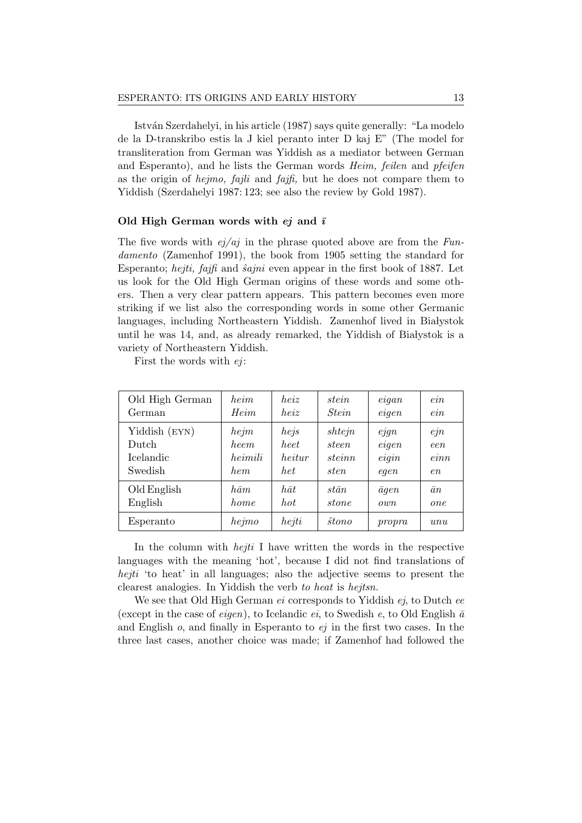Istv´an Szerdahelyi, in his article (1987) says quite generally: "La modelo de la D-transkribo estis la J kiel peranto inter D kaj E" (The model for transliteration from German was Yiddish as a mediator between German and Esperanto), and he lists the German words Heim, feilen and pfeifen as the origin of hejmo, fajli and fajfi, but he does not compare them to Yiddish (Szerdahelyi 1987: 123; see also the review by Gold 1987).

#### Old High German words with  $ej$  and  $\overline{i}$

The five words with  $ej/aj$  in the phrase quoted above are from the Fundamento (Zamenhof 1991), the book from 1905 setting the standard for Esperanto; hejti, fajfi and  $\hat{a}$ ajni even appear in the first book of 1887. Let us look for the Old High German origins of these words and some others. Then a very clear pattern appears. This pattern becomes even more striking if we list also the corresponding words in some other Germanic languages, including Northeastern Yiddish. Zamenhof lived in Białystok until he was 14, and, as already remarked, the Yiddish of Białystok is a variety of Northeastern Yiddish.

First the words with ej:

| Old High German | heim        | heiz        | stein         | eigan          | ein                                           |
|-----------------|-------------|-------------|---------------|----------------|-----------------------------------------------|
| German          | Heim        | heiz        | <i>Stein</i>  | eigen          | ein                                           |
| Yiddish (EYN)   | hejm        | hejs        | shtejn        | $e$ <i>jgn</i> | $e\eta$                                       |
| Dutch           | <i>heem</i> | heet        | steen         | eigen          | een                                           |
| Icelandic       | heimili     | heitur      | steinn        | eigin          | $e$ <i>inn</i>                                |
| Swedish         | hem         | het         | <i>sten</i>   | eqen           | en                                            |
| Old English     | $h\bar am$  | $h\bar{a}t$ | $st\bar{a}n$  | $\bar{a}$ qen  | $\bar{a}n$                                    |
| English         | home        | hot         | stone         | ouvn           | one                                           |
| Esperanto       | hejmo       | hejti       | $\hat{s}tono$ | propra         | $\iota$ <i>n<sub><math>\iota</math></sub></i> |

In the column with *hejti* I have written the words in the respective languages with the meaning 'hot', because I did not find translations of hejti 'to heat' in all languages; also the adjective seems to present the clearest analogies. In Yiddish the verb to heat is hejtsn.

We see that Old High German *ei* corresponds to Yiddish *ej*, to Dutch *ee* (except in the case of *eigen*), to Icelandic *ei*, to Swedish *e*, to Old English  $\bar{a}$ and English  $o$ , and finally in Esperanto to  $ej$  in the first two cases. In the three last cases, another choice was made; if Zamenhof had followed the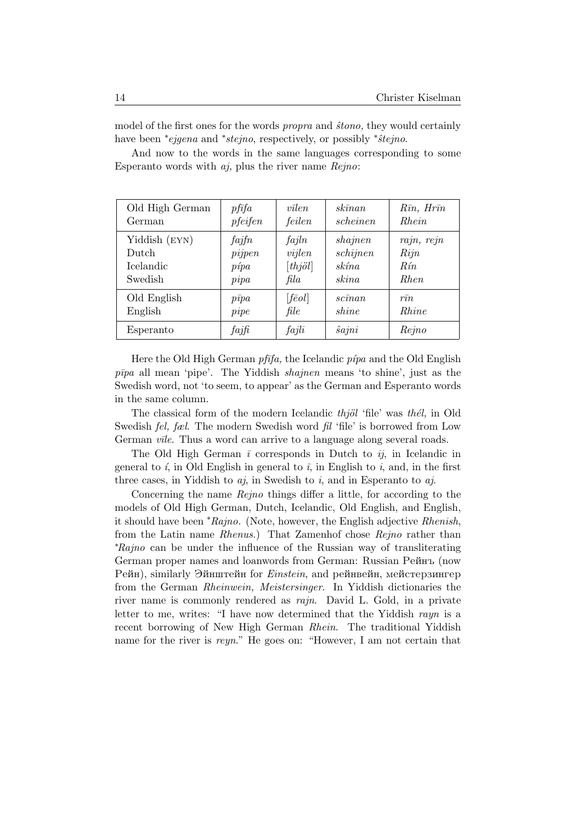model of the first ones for the words *propra* and *stono*, they would certainly have been *\*ejgena* and *\*stejno*, respectively, or possibly *\*stejno*.

Old High German  $\int$  pfīfa  $\int$  vīlen  $\int$  skīnan  $\int$  Rīn, Hrīn German | pfeifen | feilen | scheinen | Rhein Yiddish (EYN)  $\int f \hat{a} f \hat{n}$  |  $f \hat{a} f \hat{n}$  |  $\sin \theta$  |  $\sin \theta$  |  $\sin \theta$  |  $\sin \theta$  |  $\sin \theta$  |  $\sin \theta$  |  $\sin \theta$  |  $\sin \theta$  |  $\sin \theta$  |  $\sin \theta$  |  $\sin \theta$  |  $\sin \theta$  |  $\sin \theta$  |  $\sin \theta$  |  $\sin \theta$  |  $\sin \theta$  |  $\sin \theta$  |  $\sin \theta$  |  $\sin \theta$  |  $\sin$ Dutch pijpen wijlen schijnen Rijn Icelandic  $p$ <sup>i</sup>pa [thjöl] skína Rín Swedish  $pipa$  fila skina Rhen Old English  $p\bar{v}p a$   $|f\bar{e}ol|$   $|sc\bar{v}nn$   $r\bar{v}n$ English pipe file shine Rhine Esperanto  $\int f a j f i \int f a j l i \int \hat{s} a j n i \int R e j n o$ 

And now to the words in the same languages corresponding to some Esperanto words with  $a$ *j*, plus the river name  $Reino$ :

Here the Old High German  $pf\bar{t}fa$ , the Icelandic  $p\acute{\iota}pa$  and the Old English  $p\bar{v}pq$  all mean 'pipe'. The Yiddish *shajnen* means 'to shine', just as the Swedish word, not 'to seem, to appear' as the German and Esperanto words in the same column.

The classical form of the modern Icelandic  $thj\ddot{o}l$  'file' was the l, in Old Swedish fel, fæl. The modern Swedish word fil 'file' is borrowed from Low German *vile*. Thus a word can arrive to a language along several roads.

The Old High German  $\bar{i}$  corresponds in Dutch to  $i\bar{j}$ , in Icelandic in general to i, in Old English in general to  $\bar{i}$ , in English to i, and, in the first three cases, in Yiddish to  $a_j$ , in Swedish to i, and in Esperanto to  $a_j$ .

Concerning the name Rejno things differ a little, for according to the models of Old High German, Dutch, Icelandic, Old English, and English, it should have been <sup>∗</sup>Rajno. (Note, however, the English adjective Rhenish, from the Latin name Rhenus.) That Zamenhof chose Rejno rather than <sup>∗</sup>Rajno can be under the influence of the Russian way of transliterating German proper names and loanwords from German: Russian Peйнъ (now Pейн), similarly Эйнштейн for *Einstein*, and рейнвейн, мейстерзингер from the German Rheinwein, Meistersinger. In Yiddish dictionaries the river name is commonly rendered as rajn. David L. Gold, in a private letter to me, writes: "I have now determined that the Yiddish rayn is a recent borrowing of New High German Rhein. The traditional Yiddish name for the river is reyn." He goes on: "However, I am not certain that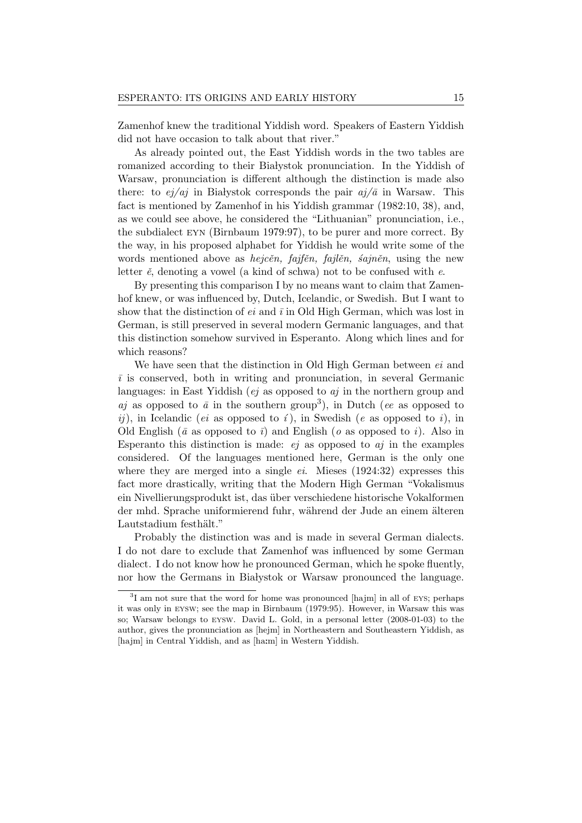Zamenhof knew the traditional Yiddish word. Speakers of Eastern Yiddish did not have occasion to talk about that river."

As already pointed out, the East Yiddish words in the two tables are romanized according to their Białystok pronunciation. In the Yiddish of Warsaw, pronunciation is different although the distinction is made also there: to  $e\dot{q}/a\dot{q}$  in Białystok corresponds the pair  $a\dot{q}/\bar{a}$  in Warsaw. This fact is mentioned by Zamenhof in his Yiddish grammar (1982:10, 38), and, as we could see above, he considered the "Lithuanian" pronunciation, i.e., the subdialect eyn (Birnbaum 1979:97), to be purer and more correct. By the way, in his proposed alphabet for Yiddish he would write some of the words mentioned above as *hejcěn*, fajfěn, fajlěn, sajněn, using the new letter  $\check{e}$ , denoting a vowel (a kind of schwa) not to be confused with  $e$ .

By presenting this comparison I by no means want to claim that Zamenhof knew, or was influenced by, Dutch, Icelandic, or Swedish. But I want to show that the distinction of  $ei$  and  $\bar{i}$  in Old High German, which was lost in German, is still preserved in several modern Germanic languages, and that this distinction somehow survived in Esperanto. Along which lines and for which reasons?

We have seen that the distinction in Old High German between  $ei$  and  $\overline{i}$  is conserved, both in writing and pronunciation, in several Germanic languages: in East Yiddish (*ej* as opposed to  $a_j$  in the northern group and aj as opposed to  $\bar{a}$  in the southern group<sup>3</sup>), in Dutch (ee as opposed to  $ii)$ , in Icelandic (*ei* as opposed to *i*), in Swedish (*e* as opposed to *i*), in Old English ( $\bar{a}$  as opposed to  $\bar{i}$ ) and English ( $o$  as opposed to  $i$ ). Also in Esperanto this distinction is made:  $ej$  as opposed to  $aj$  in the examples considered. Of the languages mentioned here, German is the only one where they are merged into a single  $ei$ . Mieses (1924:32) expresses this fact more drastically, writing that the Modern High German "Vokalismus ein Nivellierungsprodukt ist, das über verschiedene historische Vokalformen der mhd. Sprache uniformierend fuhr, während der Jude an einem älteren Lautstadium festhält."

Probably the distinction was and is made in several German dialects. I do not dare to exclude that Zamenhof was influenced by some German dialect. I do not know how he pronounced German, which he spoke fluently, nor how the Germans in Białystok or Warsaw pronounced the language.

<sup>&</sup>lt;sup>3</sup>I am not sure that the word for home was pronounced [hajm] in all of EYS; perhaps it was only in eysw; see the map in Birnbaum (1979:95). However, in Warsaw this was so; Warsaw belongs to eysw. David L. Gold, in a personal letter (2008-01-03) to the author, gives the pronunciation as [hejm] in Northeastern and Southeastern Yiddish, as [hajm] in Central Yiddish, and as [haːm] in Western Yiddish.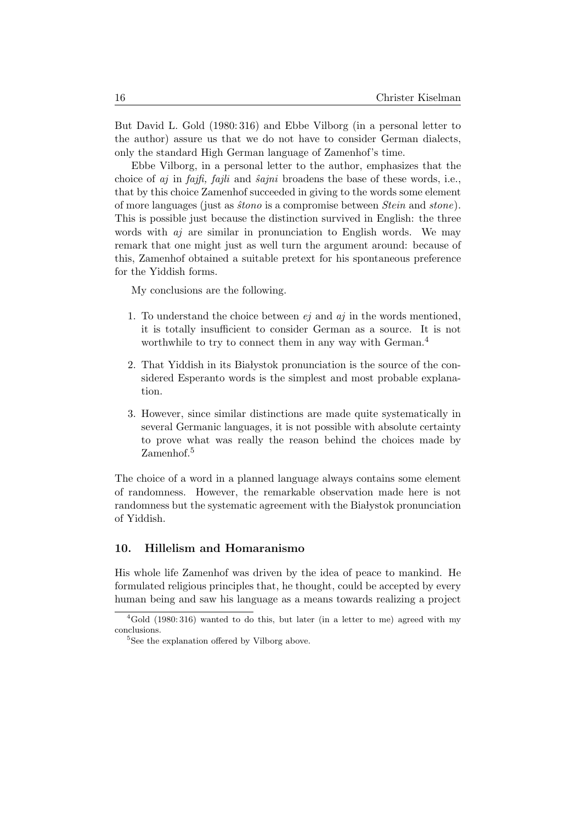But David L. Gold (1980: 316) and Ebbe Vilborg (in a personal letter to the author) assure us that we do not have to consider German dialects, only the standard High German language of Zamenhof's time.

Ebbe Vilborg, in a personal letter to the author, emphasizes that the choice of  $a_j$  in fajfi, fajli and  $\hat{s}$ ajni broadens the base of these words, i.e., that by this choice Zamenhof succeeded in giving to the words some element of more languages (just as *stono* is a compromise between *Stein* and *stone*). This is possible just because the distinction survived in English: the three words with *aj* are similar in pronunciation to English words. We may remark that one might just as well turn the argument around: because of this, Zamenhof obtained a suitable pretext for his spontaneous preference for the Yiddish forms.

My conclusions are the following.

- 1. To understand the choice between  $ej$  and  $aj$  in the words mentioned, it is totally insufficient to consider German as a source. It is not worthwhile to try to connect them in any way with German.<sup>4</sup>
- 2. That Yiddish in its Białystok pronunciation is the source of the considered Esperanto words is the simplest and most probable explanation.
- 3. However, since similar distinctions are made quite systematically in several Germanic languages, it is not possible with absolute certainty to prove what was really the reason behind the choices made by Zamenhof.<sup>5</sup>

The choice of a word in a planned language always contains some element of randomness. However, the remarkable observation made here is not randomness but the systematic agreement with the Białystok pronunciation of Yiddish.

### 10. Hillelism and Homaranismo

His whole life Zamenhof was driven by the idea of peace to mankind. He formulated religious principles that, he thought, could be accepted by every human being and saw his language as a means towards realizing a project

 ${}^{4}$ Gold (1980: 316) wanted to do this, but later (in a letter to me) agreed with my conclusions.

<sup>&</sup>lt;sup>5</sup>See the explanation offered by Vilborg above.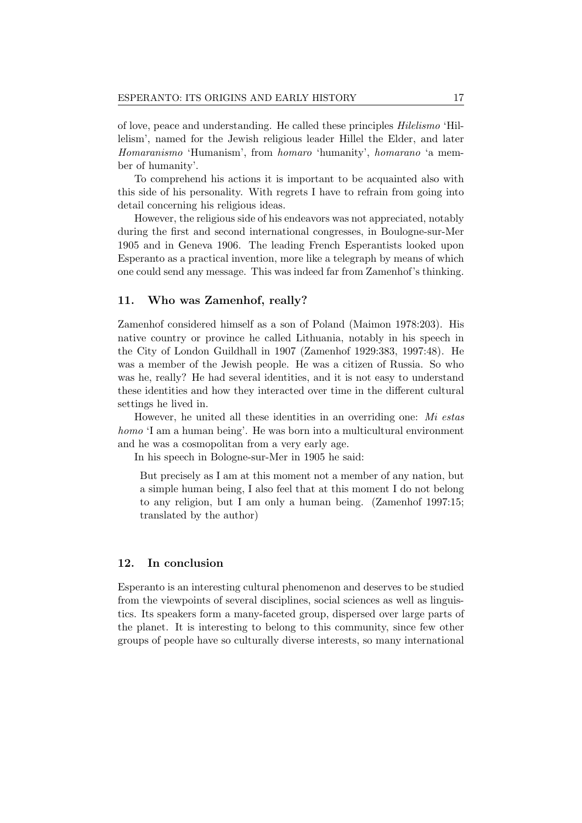of love, peace and understanding. He called these principles Hilelismo 'Hillelism', named for the Jewish religious leader Hillel the Elder, and later Homaranismo 'Humanism', from homaro 'humanity', homarano 'a member of humanity'.

To comprehend his actions it is important to be acquainted also with this side of his personality. With regrets I have to refrain from going into detail concerning his religious ideas.

However, the religious side of his endeavors was not appreciated, notably during the first and second international congresses, in Boulogne-sur-Mer 1905 and in Geneva 1906. The leading French Esperantists looked upon Esperanto as a practical invention, more like a telegraph by means of which one could send any message. This was indeed far from Zamenhof's thinking.

## 11. Who was Zamenhof, really?

Zamenhof considered himself as a son of Poland (Maimon 1978:203). His native country or province he called Lithuania, notably in his speech in the City of London Guildhall in 1907 (Zamenhof 1929:383, 1997:48). He was a member of the Jewish people. He was a citizen of Russia. So who was he, really? He had several identities, and it is not easy to understand these identities and how they interacted over time in the different cultural settings he lived in.

However, he united all these identities in an overriding one: Mi estas homo 'I am a human being'. He was born into a multicultural environment and he was a cosmopolitan from a very early age.

In his speech in Bologne-sur-Mer in 1905 he said:

But precisely as I am at this moment not a member of any nation, but a simple human being, I also feel that at this moment I do not belong to any religion, but I am only a human being. (Zamenhof 1997:15; translated by the author)

### 12. In conclusion

Esperanto is an interesting cultural phenomenon and deserves to be studied from the viewpoints of several disciplines, social sciences as well as linguistics. Its speakers form a many-faceted group, dispersed over large parts of the planet. It is interesting to belong to this community, since few other groups of people have so culturally diverse interests, so many international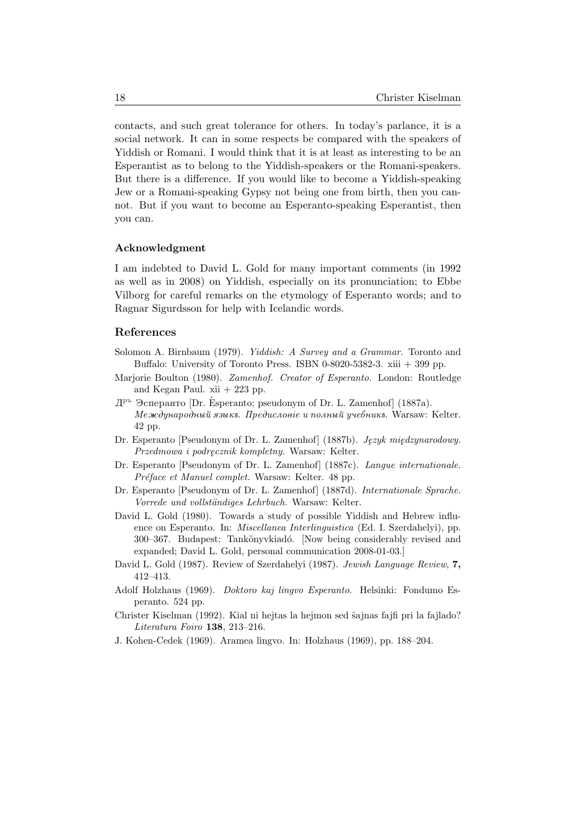contacts, and such great tolerance for others. In today's parlance, it is a social network. It can in some respects be compared with the speakers of Yiddish or Romani. I would think that it is at least as interesting to be an Esperantist as to belong to the Yiddish-speakers or the Romani-speakers. But there is a difference. If you would like to become a Yiddish-speaking Jew or a Romani-speaking Gypsy not being one from birth, then you cannot. But if you want to become an Esperanto-speaking Esperantist, then you can.

### Acknowledgment

I am indebted to David L. Gold for many important comments (in 1992 as well as in 2008) on Yiddish, especially on its pronunciation; to Ebbe Vilborg for careful remarks on the etymology of Esperanto words; and to Ragnar Sigurdsson for help with Icelandic words.

### References

- Solomon A. Birnbaum (1979). Yiddish: A Survey and a Grammar. Toronto and Buffalo: University of Toronto Press. ISBN 0-8020-5382-3.  $xiii + 399$  pp.
- Marjorie Boulton (1980). Zamenhof. Creator of Esperanto. London: Routledge and Kegan Paul.  $xii + 223$  pp.
- $\mathbb{Z}^{\mathbb{P}^n}$  Эсперанто [Dr. Esperanto; pseudonym of Dr. L. Zamenhof] (1887a).  $M$ еждународный языкъ. Предисловіе и полный учебникъ. Warsaw: Kelter. 42 pp.
- Dr. Esperanto [Pseudonym of Dr. L. Zamenhof] (1887b). Język międzynarodowy. Przedmowa i podre˛cznik kompletny. Warsaw: Kelter.
- Dr. Esperanto [Pseudonym of Dr. L. Zamenhof] (1887c). Langue internationale. Préface et Manuel complet. Warsaw: Kelter. 48 pp.
- Dr. Esperanto [Pseudonym of Dr. L. Zamenhof] (1887d). Internationale Sprache. Vorrede und vollständiges Lehrbuch. Warsaw: Kelter.
- David L. Gold (1980). Towards a study of possible Yiddish and Hebrew influence on Esperanto. In: Miscellanea Interlinguistica (Ed. I. Szerdahelyi), pp. 300–367. Budapest: Tankönyvkiadó. [Now being considerably revised and expanded; David L. Gold, personal communication 2008-01-03.]
- David L. Gold (1987). Review of Szerdahelyi (1987). Jewish Language Review, 7, 412–413.
- Adolf Holzhaus (1969). Doktoro kaj lingvo Esperanto. Helsinki: Fondumo Esperanto. 524 pp.
- Christer Kiselman (1992). Kial ni hejtas la hejmon sed ŝajnas fajfi pri la fajlado? Literatura Foiro 138, 213–216.
- J. Kohen-Cedek (1969). Aramea lingvo. In: Holzhaus (1969), pp. 188–204.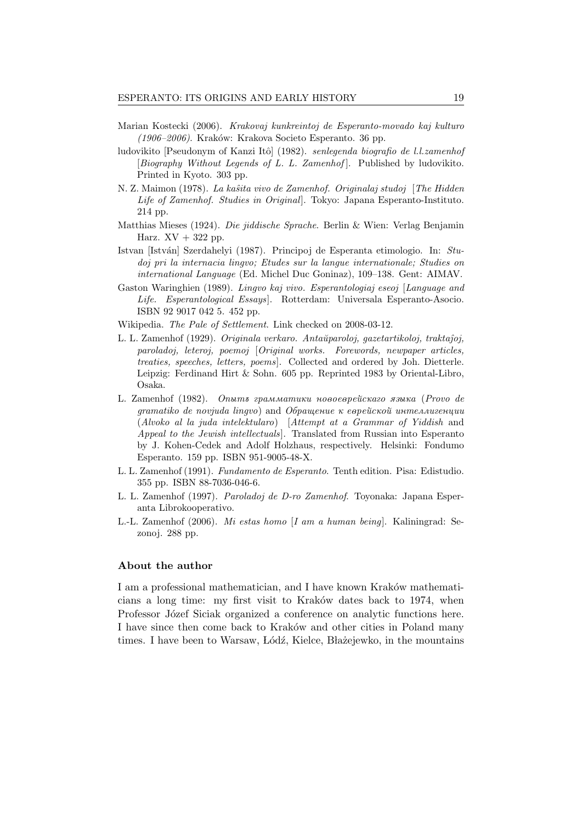- Marian Kostecki (2006). Krakovaj kunkreintoj de Esperanto-movado kaj kulturo (1906–2006). Kraków: Krakova Societo Esperanto. 36 pp.
- ludovikito [Pseudonym of Kanzi Itô] (1982). senlegenda biografio de l.l.zamenhof [Biography Without Legends of L. L. Zamenhof]. Published by ludovikito. Printed in Kyoto. 303 pp.
- N. Z. Maimon (1978). La kaŝita vivo de Zamenhof. Originalaj studoj [The Hidden Life of Zamenhof. Studies in Original. Tokyo: Japana Esperanto-Instituto. 214 pp.
- Matthias Mieses (1924). Die jiddische Sprache. Berlin & Wien: Verlag Benjamin Harz.  $XV + 322$  pp.
- Istvan [István] Szerdahelyi (1987). Principoj de Esperanta etimologio. In: Studoj pri la internacia lingvo; Etudes sur la langue internationale; Studies on international Language (Ed. Michel Duc Goninaz), 109–138. Gent: AIMAV.
- Gaston Waringhien (1989). Lingvo kaj vivo. Esperantologiaj eseoj [Language and Life. Esperantological Essays]. Rotterdam: Universala Esperanto-Asocio. ISBN 92 9017 042 5. 452 pp.
- Wikipedia. The Pale of Settlement. Link checked on 2008-03-12.
- L. L. Zamenhof (1929). Originala verkaro. Antaŭparoloj, gazetartikoloj, traktaĵoj, paroladoj, leteroj, poemoj [Original works. Forewords, newpaper articles, treaties, speeches, letters, poems]. Collected and ordered by Joh. Dietterle. Leipzig: Ferdinand Hirt & Sohn. 605 pp. Reprinted 1983 by Oriental-Libro, Osaka.
- L. Zamenhof (1982). Onumo zpammamuku novoespeŭckazo souka (Provo de  $gamma$ iko de novjuda lingvo) and  $O6$ paщение к еврейской интеллигенции (Alvoko al la juda intelektularo) [Attempt at a Grammar of Yiddish and Appeal to the Jewish intellectuals]. Translated from Russian into Esperanto by J. Kohen-Cedek and Adolf Holzhaus, respectively. Helsinki: Fondumo Esperanto. 159 pp. ISBN 951-9005-48-X.
- L. L. Zamenhof (1991). Fundamento de Esperanto. Tenth edition. Pisa: Edistudio. 355 pp. ISBN 88-7036-046-6.
- L. L. Zamenhof (1997). Paroladoj de D-ro Zamenhof. Toyonaka: Japana Esperanta Librokooperativo.
- L.-L. Zamenhof (2006). Mi estas homo [I am a human being]. Kaliningrad: Sezonoj. 288 pp.

#### About the author

I am a professional mathematician, and I have known Kraków mathematicians a long time: my first visit to Kraków dates back to 1974, when Professor Józef Siciak organized a conference on analytic functions here. I have since then come back to Kraków and other cities in Poland many times. I have been to Warsaw, Łódź, Kielce, Błażejewko, in the mountains